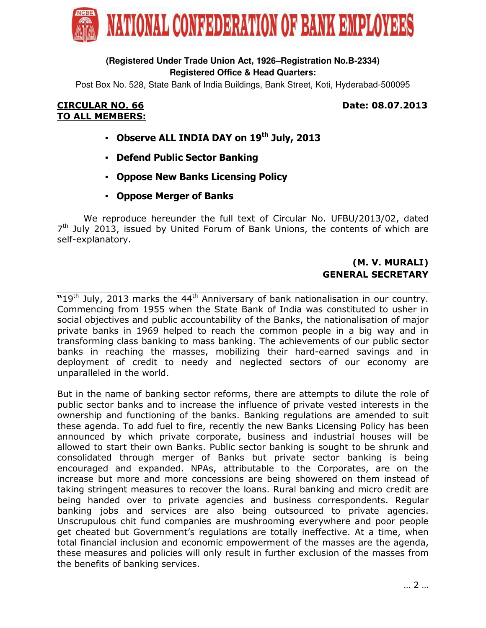

# **(Registered Under Trade Union Act, 1926–Registration No.B-2334) Registered Office & Head Quarters:**

Post Box No. 528, State Bank of India Buildings, Bank Street, Koti, Hyderabad-500095

## CIRCULAR NO. 66 Date: 08.07.2013 TO ALL MEMBERS:

- Observe ALL INDIA DAY on 19<sup>th</sup> July, 2013
- Defend Public Sector Banking
- Oppose New Banks Licensing Policy
- Oppose Merger of Banks

 We reproduce hereunder the full text of Circular No. UFBU/2013/02, dated 7<sup>th</sup> July 2013, issued by United Forum of Bank Unions, the contents of which are self-explanatory.

# (M. V. MURALI) GENERAL SECRETARY

 $\overline{19}$ th July, 2013 marks the 44<sup>th</sup> Anniversary of bank nationalisation in our country. Commencing from 1955 when the State Bank of India was constituted to usher in social objectives and public accountability of the Banks, the nationalisation of major private banks in 1969 helped to reach the common people in a big way and in transforming class banking to mass banking. The achievements of our public sector banks in reaching the masses, mobilizing their hard-earned savings and in deployment of credit to needy and neglected sectors of our economy are unparalleled in the world.

But in the name of banking sector reforms, there are attempts to dilute the role of public sector banks and to increase the influence of private vested interests in the ownership and functioning of the banks. Banking regulations are amended to suit these agenda. To add fuel to fire, recently the new Banks Licensing Policy has been announced by which private corporate, business and industrial houses will be allowed to start their own Banks. Public sector banking is sought to be shrunk and consolidated through merger of Banks but private sector banking is being encouraged and expanded. NPAs, attributable to the Corporates, are on the increase but more and more concessions are being showered on them instead of taking stringent measures to recover the loans. Rural banking and micro credit are being handed over to private agencies and business correspondents. Regular banking jobs and services are also being outsourced to private agencies. Unscrupulous chit fund companies are mushrooming everywhere and poor people get cheated but Government's regulations are totally ineffective. At a time, when total financial inclusion and economic empowerment of the masses are the agenda, these measures and policies will only result in further exclusion of the masses from the benefits of banking services.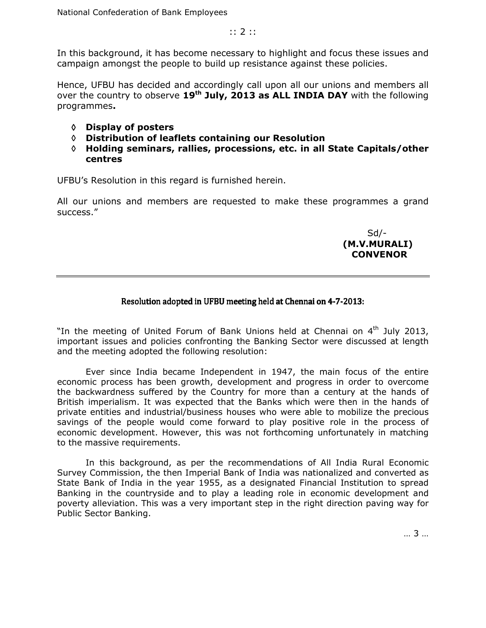In this background, it has become necessary to highlight and focus these issues and campaign amongst the people to build up resistance against these policies.

Hence, UFBU has decided and accordingly call upon all our unions and members all over the country to observe  $19<sup>th</sup>$  July, 2013 as ALL INDIA DAY with the following programmes.

- ◊ Display of posters
- ◊ Distribution of leaflets containing our Resolution
- ◊ Holding seminars, rallies, processions, etc. in all State Capitals/other centres

UFBU's Resolution in this regard is furnished herein.

All our unions and members are requested to make these programmes a grand success."

 Sd/- (M.V.MURALI) **CONVENOR** 

### Resolution adopted in UFBU meeting held at Chennai on 4-7-2013:

"In the meeting of United Forum of Bank Unions held at Chennai on  $4<sup>th</sup>$  July 2013, important issues and policies confronting the Banking Sector were discussed at length and the meeting adopted the following resolution:

 Ever since India became Independent in 1947, the main focus of the entire economic process has been growth, development and progress in order to overcome the backwardness suffered by the Country for more than a century at the hands of British imperialism. It was expected that the Banks which were then in the hands of private entities and industrial/business houses who were able to mobilize the precious savings of the people would come forward to play positive role in the process of economic development. However, this was not forthcoming unfortunately in matching to the massive requirements.

 In this background, as per the recommendations of All India Rural Economic Survey Commission, the then Imperial Bank of India was nationalized and converted as State Bank of India in the year 1955, as a designated Financial Institution to spread Banking in the countryside and to play a leading role in economic development and poverty alleviation. This was a very important step in the right direction paving way for Public Sector Banking.

… 3 …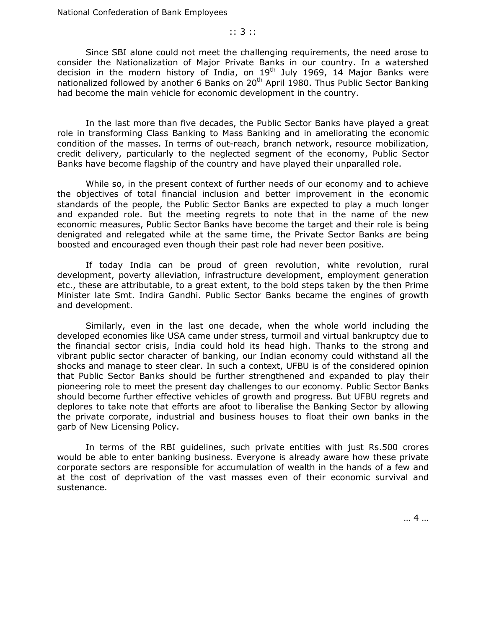#### :: 3 ::

 Since SBI alone could not meet the challenging requirements, the need arose to consider the Nationalization of Major Private Banks in our country. In a watershed decision in the modern history of India, on  $19<sup>th</sup>$  July 1969, 14 Major Banks were nationalized followed by another 6 Banks on 20<sup>th</sup> April 1980. Thus Public Sector Banking had become the main vehicle for economic development in the country.

 In the last more than five decades, the Public Sector Banks have played a great role in transforming Class Banking to Mass Banking and in ameliorating the economic condition of the masses. In terms of out-reach, branch network, resource mobilization, credit delivery, particularly to the neglected segment of the economy, Public Sector Banks have become flagship of the country and have played their unparalled role.

 While so, in the present context of further needs of our economy and to achieve the objectives of total financial inclusion and better improvement in the economic standards of the people, the Public Sector Banks are expected to play a much longer and expanded role. But the meeting regrets to note that in the name of the new economic measures, Public Sector Banks have become the target and their role is being denigrated and relegated while at the same time, the Private Sector Banks are being boosted and encouraged even though their past role had never been positive.

 If today India can be proud of green revolution, white revolution, rural development, poverty alleviation, infrastructure development, employment generation etc., these are attributable, to a great extent, to the bold steps taken by the then Prime Minister late Smt. Indira Gandhi. Public Sector Banks became the engines of growth and development.

 Similarly, even in the last one decade, when the whole world including the developed economies like USA came under stress, turmoil and virtual bankruptcy due to the financial sector crisis, India could hold its head high. Thanks to the strong and vibrant public sector character of banking, our Indian economy could withstand all the shocks and manage to steer clear. In such a context, UFBU is of the considered opinion that Public Sector Banks should be further strengthened and expanded to play their pioneering role to meet the present day challenges to our economy. Public Sector Banks should become further effective vehicles of growth and progress. But UFBU regrets and deplores to take note that efforts are afoot to liberalise the Banking Sector by allowing the private corporate, industrial and business houses to float their own banks in the garb of New Licensing Policy.

 In terms of the RBI guidelines, such private entities with just Rs.500 crores would be able to enter banking business. Everyone is already aware how these private corporate sectors are responsible for accumulation of wealth in the hands of a few and at the cost of deprivation of the vast masses even of their economic survival and sustenance.

… 4 …